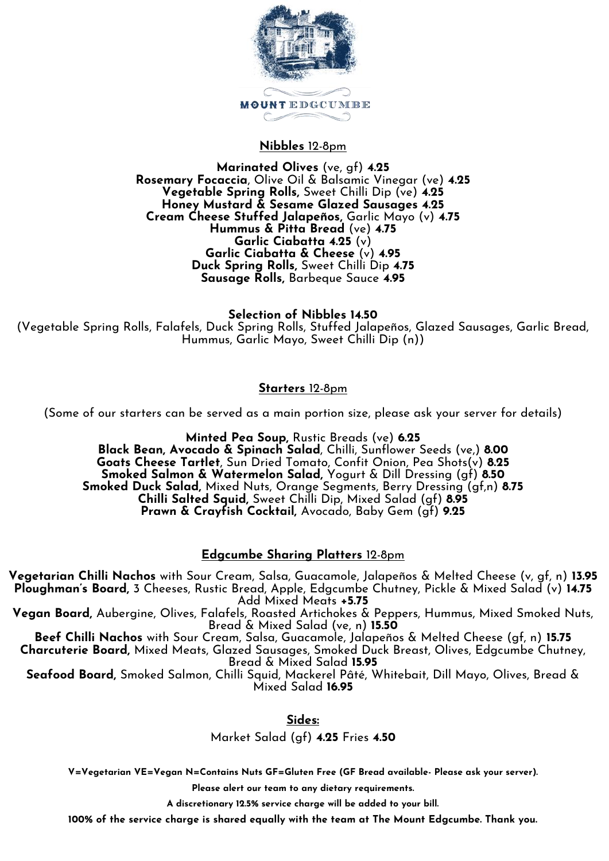

## **Nibbles** 12-8pm

#### **Marinated Olives** (ve, gf) **4.25 Rosemary Focaccia**, Olive Oil & Balsamic Vinegar (ve) **4.25 Vegetable Spring Rolls,** Sweet Chilli Dip (ve) **4.25 Honey Mustard & Sesame Glazed Sausages 4.25 Cream Cheese Stuffed Jalapeños,** Garlic Mayo (v) **4.75 Hummus & Pitta Bread** (ve) **4.75 Garlic Ciabatta 4.25** (v) **Garlic Ciabatta & Cheese** (v) **4.95 Duck Spring Rolls,** Sweet Chilli Dip **4.75 Sausage Rolls,** Barbeque Sauce **4.95**

**Selection of Nibbles 14.50** (Vegetable Spring Rolls, Falafels, Duck Spring Rolls, Stuffed Jalapeños, Glazed Sausages, Garlic Bread, Hummus, Garlic Mayo, Sweet Chilli Dip (n))

## **Starters** 12-8pm

(Some of our starters can be served as a main portion size, please ask your server for details)

**Minted Pea Soup,** Rustic Breads (ve) **6.25 Black Bean, Avocado & Spinach Salad**, Chilli, Sunflower Seeds (ve,) **8.00 Goats Cheese Tartlet**, Sun Dried Tomato, Confit Onion, Pea Shots(v) **8.25 Smoked Salmon & Watermelon Salad,** Yogurt & Dill Dressing (gf) **8.50 Smoked Duck Salad,** Mixed Nuts, Orange Segments, Berry Dressing (gf,n) **8.75 Chilli Salted Squid,** Sweet Chilli Dip, Mixed Salad (gf) **8.95 Prawn & Crayfish Cocktail,** Avocado, Baby Gem (gf) **9.25**

# **Edgcumbe Sharing Platters** 12-8pm

**Vegetarian Chilli Nachos** with Sour Cream, Salsa, Guacamole, Jalapeños & Melted Cheese (v, gf, n) **13.95 Ploughman's Board,** 3 Cheeses, Rustic Bread, Apple, Edgcumbe Chutney, Pickle & Mixed Salad (v) **14.75** Add Mixed Meats **+5.75**

**Vegan Board,** Aubergine, Olives, Falafels, Roasted Artichokes & Peppers, Hummus, Mixed Smoked Nuts, Bread & Mixed Salad (ve, n) **15.50**

**Beef Chilli Nachos** with Sour Cream, Salsa, Guacamole, Jalapeños & Melted Cheese (gf, n) **15.75 Charcuterie Board,** Mixed Meats, Glazed Sausages, Smoked Duck Breast, Olives, Edgcumbe Chutney, Bread & Mixed Salad **15.95**

**Seafood Board,** Smoked Salmon, Chilli Squid, Mackerel Pâté, Whitebait, Dill Mayo, Olives, Bread & Mixed Salad **16.95**

**Sides:**

Market Salad (gf) **4.25** Fries **4.50** 

**V=Vegetarian VE=Vegan N=Contains Nuts GF=Gluten Free (GF Bread available- Please ask your server).**

**Please alert our team to any dietary requirements.**

**A discretionary 12.5% service charge will be added to your bill.**

**100% of the service charge is shared equally with the team at The Mount Edgcumbe. Thank you.**